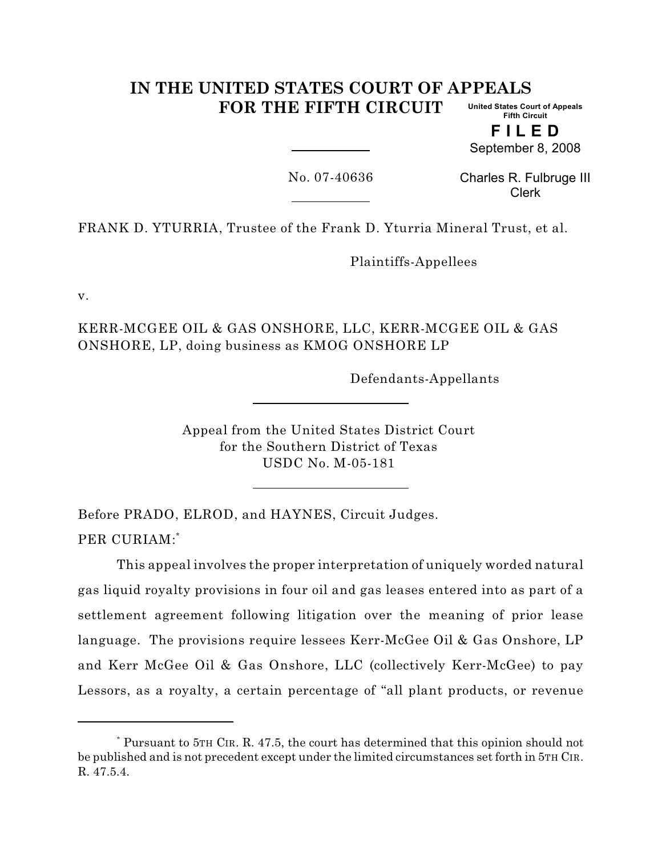#### **IN THE UNITED STATES COURT OF APPEALS FOR THE FIFTH CIRCUIT United States Court of Appeals Fifth Circuit**

**F I L E D** September 8, 2008

No. 07-40636

Charles R. Fulbruge III Clerk

FRANK D. YTURRIA, Trustee of the Frank D. Yturria Mineral Trust, et al.

Plaintiffs-Appellees

v.

KERR-MCGEE OIL & GAS ONSHORE, LLC, KERR-MCGEE OIL & GAS ONSHORE, LP, doing business as KMOG ONSHORE LP

Defendants-Appellants

Appeal from the United States District Court for the Southern District of Texas USDC No. M-05-181

Before PRADO, ELROD, and HAYNES, Circuit Judges. PER CURIAM:\*

This appeal involves the proper interpretation of uniquely worded natural gas liquid royalty provisions in four oil and gas leases entered into as part of a settlement agreement following litigation over the meaning of prior lease language. The provisions require lessees Kerr-McGee Oil & Gas Onshore, LP and Kerr McGee Oil & Gas Onshore, LLC (collectively Kerr-McGee) to pay Lessors, as a royalty, a certain percentage of "all plant products, or revenue

Pursuant to 5TH CIR. R. 47.5, the court has determined that this opinion should not \* be published and is not precedent except under the limited circumstances set forth in 5TH CIR. R. 47.5.4.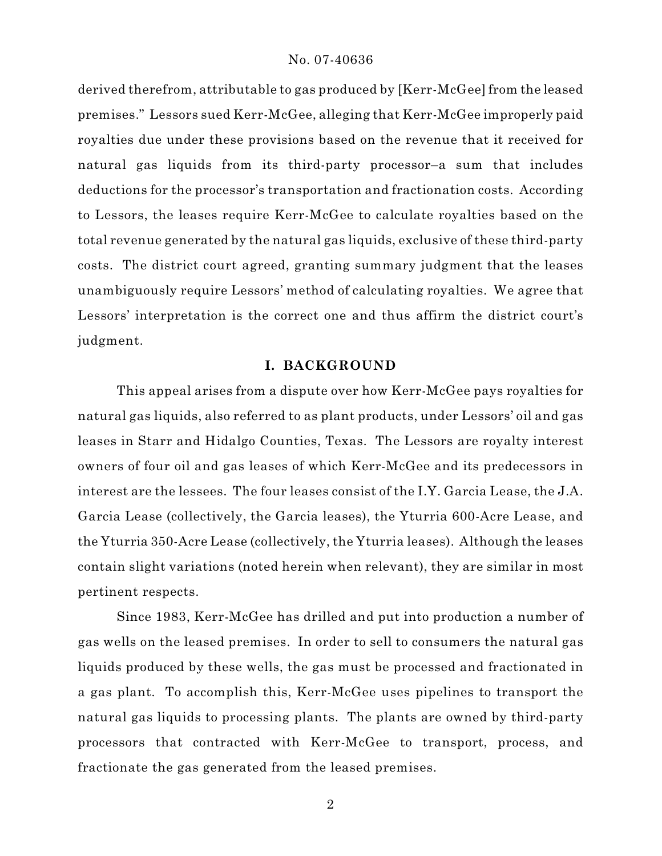derived therefrom, attributable to gas produced by [Kerr-McGee] from the leased premises." Lessors sued Kerr-McGee, alleging that Kerr-McGee improperly paid royalties due under these provisions based on the revenue that it received for natural gas liquids from its third-party processor–a sum that includes deductions for the processor's transportation and fractionation costs. According to Lessors, the leases require Kerr-McGee to calculate royalties based on the total revenue generated by the natural gas liquids, exclusive of these third-party costs. The district court agreed, granting summary judgment that the leases unambiguously require Lessors' method of calculating royalties. We agree that Lessors' interpretation is the correct one and thus affirm the district court's judgment.

## **I. BACKGROUND**

This appeal arises from a dispute over how Kerr-McGee pays royalties for natural gas liquids, also referred to as plant products, under Lessors' oil and gas leases in Starr and Hidalgo Counties, Texas. The Lessors are royalty interest owners of four oil and gas leases of which Kerr-McGee and its predecessors in interest are the lessees. The four leases consist of the I.Y. Garcia Lease, the J.A. Garcia Lease (collectively, the Garcia leases), the Yturria 600-Acre Lease, and the Yturria 350-Acre Lease (collectively, the Yturria leases). Although the leases contain slight variations (noted herein when relevant), they are similar in most pertinent respects.

Since 1983, Kerr-McGee has drilled and put into production a number of gas wells on the leased premises. In order to sell to consumers the natural gas liquids produced by these wells, the gas must be processed and fractionated in a gas plant. To accomplish this, Kerr-McGee uses pipelines to transport the natural gas liquids to processing plants. The plants are owned by third-party processors that contracted with Kerr-McGee to transport, process, and fractionate the gas generated from the leased premises.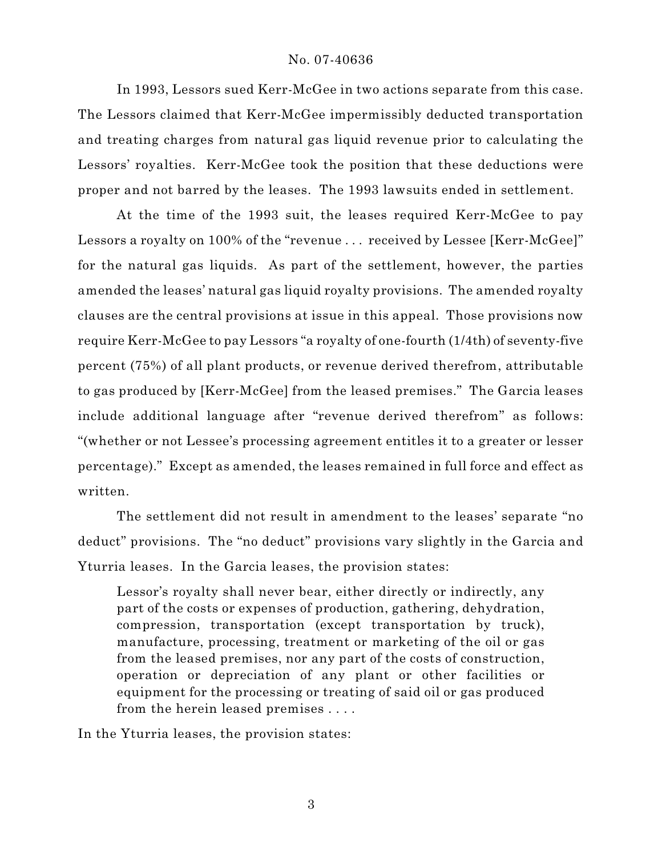In 1993, Lessors sued Kerr-McGee in two actions separate from this case. The Lessors claimed that Kerr-McGee impermissibly deducted transportation and treating charges from natural gas liquid revenue prior to calculating the Lessors' royalties. Kerr-McGee took the position that these deductions were proper and not barred by the leases. The 1993 lawsuits ended in settlement.

At the time of the 1993 suit, the leases required Kerr-McGee to pay Lessors a royalty on 100% of the "revenue ... received by Lessee [Kerr-McGee]" for the natural gas liquids. As part of the settlement, however, the parties amended the leases' natural gas liquid royalty provisions. The amended royalty clauses are the central provisions at issue in this appeal. Those provisions now require Kerr-McGee to pay Lessors "a royalty of one-fourth (1/4th) of seventy-five percent (75%) of all plant products, or revenue derived therefrom, attributable to gas produced by [Kerr-McGee] from the leased premises." The Garcia leases include additional language after "revenue derived therefrom" as follows: "(whether or not Lessee's processing agreement entitles it to a greater or lesser percentage)." Except as amended, the leases remained in full force and effect as written.

The settlement did not result in amendment to the leases' separate "no deduct" provisions. The "no deduct" provisions vary slightly in the Garcia and Yturria leases. In the Garcia leases, the provision states:

Lessor's royalty shall never bear, either directly or indirectly, any part of the costs or expenses of production, gathering, dehydration, compression, transportation (except transportation by truck), manufacture, processing, treatment or marketing of the oil or gas from the leased premises, nor any part of the costs of construction, operation or depreciation of any plant or other facilities or equipment for the processing or treating of said oil or gas produced from the herein leased premises . . . .

In the Yturria leases, the provision states: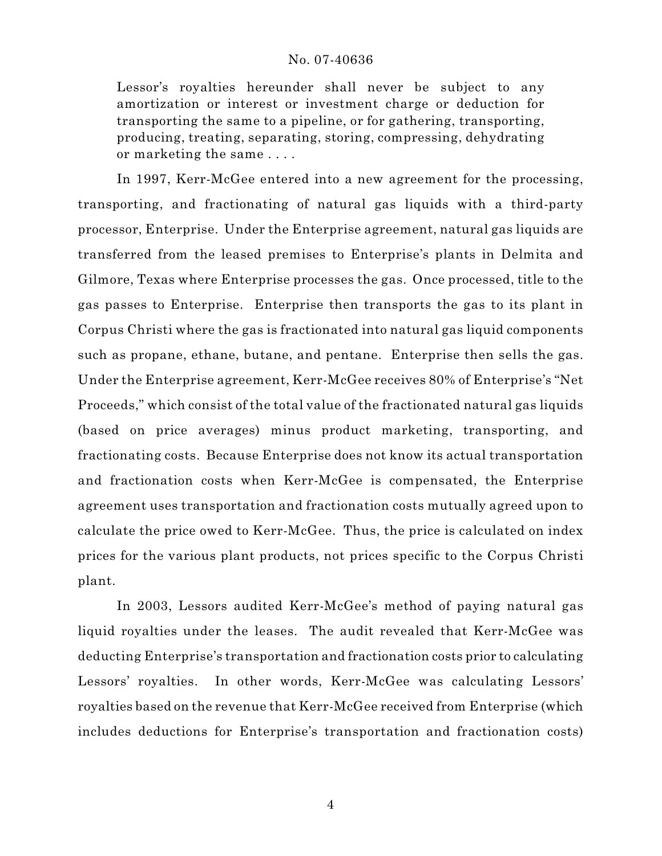Lessor's royalties hereunder shall never be subject to any amortization or interest or investment charge or deduction for transporting the same to a pipeline, or for gathering, transporting, producing, treating, separating, storing, compressing, dehydrating or marketing the same . . . .

In 1997, Kerr-McGee entered into a new agreement for the processing, transporting, and fractionating of natural gas liquids with a third-party processor, Enterprise. Under the Enterprise agreement, natural gas liquids are transferred from the leased premises to Enterprise's plants in Delmita and Gilmore, Texas where Enterprise processes the gas. Once processed, title to the gas passes to Enterprise. Enterprise then transports the gas to its plant in Corpus Christi where the gas is fractionated into natural gas liquid components such as propane, ethane, butane, and pentane. Enterprise then sells the gas. Under the Enterprise agreement, Kerr-McGee receives 80% of Enterprise's "Net Proceeds," which consist of the total value of the fractionated natural gas liquids (based on price averages) minus product marketing, transporting, and fractionating costs. Because Enterprise does not know its actual transportation and fractionation costs when Kerr-McGee is compensated, the Enterprise agreement uses transportation and fractionation costs mutually agreed upon to calculate the price owed to Kerr-McGee. Thus, the price is calculated on index prices for the various plant products, not prices specific to the Corpus Christi plant.

In 2003, Lessors audited Kerr-McGee's method of paying natural gas liquid royalties under the leases. The audit revealed that Kerr-McGee was deducting Enterprise's transportation and fractionation costs prior to calculating Lessors' royalties. In other words, Kerr-McGee was calculating Lessors' royalties based on the revenue that Kerr-McGee received from Enterprise (which includes deductions for Enterprise's transportation and fractionation costs)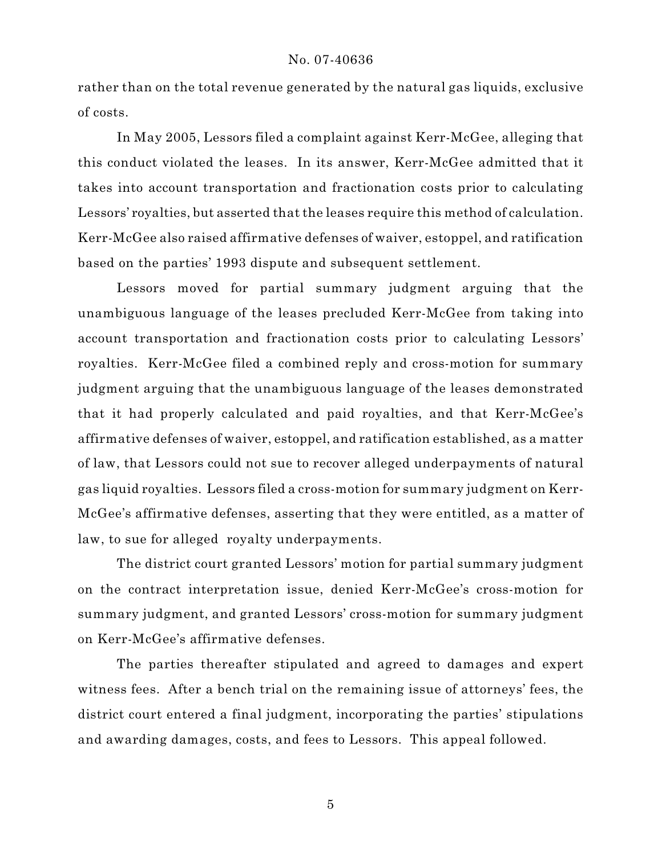rather than on the total revenue generated by the natural gas liquids, exclusive of costs.

In May 2005, Lessors filed a complaint against Kerr-McGee, alleging that this conduct violated the leases. In its answer, Kerr-McGee admitted that it takes into account transportation and fractionation costs prior to calculating Lessors' royalties, but asserted that the leases require this method of calculation. Kerr-McGee also raised affirmative defenses of waiver, estoppel, and ratification based on the parties' 1993 dispute and subsequent settlement.

Lessors moved for partial summary judgment arguing that the unambiguous language of the leases precluded Kerr-McGee from taking into account transportation and fractionation costs prior to calculating Lessors' royalties. Kerr-McGee filed a combined reply and cross-motion for summary judgment arguing that the unambiguous language of the leases demonstrated that it had properly calculated and paid royalties, and that Kerr-McGee's affirmative defenses of waiver, estoppel, and ratification established, as a matter of law, that Lessors could not sue to recover alleged underpayments of natural gas liquid royalties. Lessors filed a cross-motion for summary judgment on Kerr-McGee's affirmative defenses, asserting that they were entitled, as a matter of law, to sue for alleged royalty underpayments.

The district court granted Lessors' motion for partial summary judgment on the contract interpretation issue, denied Kerr-McGee's cross-motion for summary judgment, and granted Lessors' cross-motion for summary judgment on Kerr-McGee's affirmative defenses.

The parties thereafter stipulated and agreed to damages and expert witness fees. After a bench trial on the remaining issue of attorneys' fees, the district court entered a final judgment, incorporating the parties' stipulations and awarding damages, costs, and fees to Lessors. This appeal followed.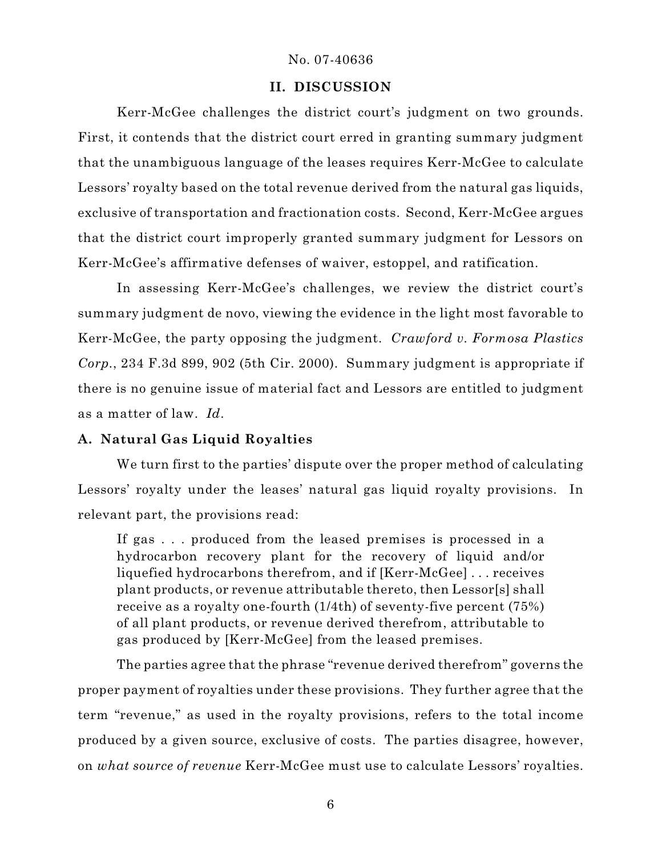## **II. DISCUSSION**

Kerr-McGee challenges the district court's judgment on two grounds. First, it contends that the district court erred in granting summary judgment that the unambiguous language of the leases requires Kerr-McGee to calculate Lessors' royalty based on the total revenue derived from the natural gas liquids, exclusive of transportation and fractionation costs. Second, Kerr-McGee argues that the district court improperly granted summary judgment for Lessors on Kerr-McGee's affirmative defenses of waiver, estoppel, and ratification.

In assessing Kerr-McGee's challenges, we review the district court's summary judgment de novo, viewing the evidence in the light most favorable to Kerr-McGee, the party opposing the judgment. *Crawford v. Formosa Plastics Corp.*, 234 F.3d 899, 902 (5th Cir. 2000). Summary judgment is appropriate if there is no genuine issue of material fact and Lessors are entitled to judgment as a matter of law. *Id*.

# **A. Natural Gas Liquid Royalties**

We turn first to the parties' dispute over the proper method of calculating Lessors' royalty under the leases' natural gas liquid royalty provisions. In relevant part, the provisions read:

If gas . . . produced from the leased premises is processed in a hydrocarbon recovery plant for the recovery of liquid and/or liquefied hydrocarbons therefrom, and if [Kerr-McGee] . . . receives plant products, or revenue attributable thereto, then Lessor[s] shall receive as a royalty one-fourth (1/4th) of seventy-five percent (75%) of all plant products, or revenue derived therefrom, attributable to gas produced by [Kerr-McGee] from the leased premises.

The parties agree that the phrase "revenue derived therefrom" governs the proper payment of royalties under these provisions. They further agree that the term "revenue," as used in the royalty provisions, refers to the total income produced by a given source, exclusive of costs. The parties disagree, however, on *what source of revenue* Kerr-McGee must use to calculate Lessors' royalties.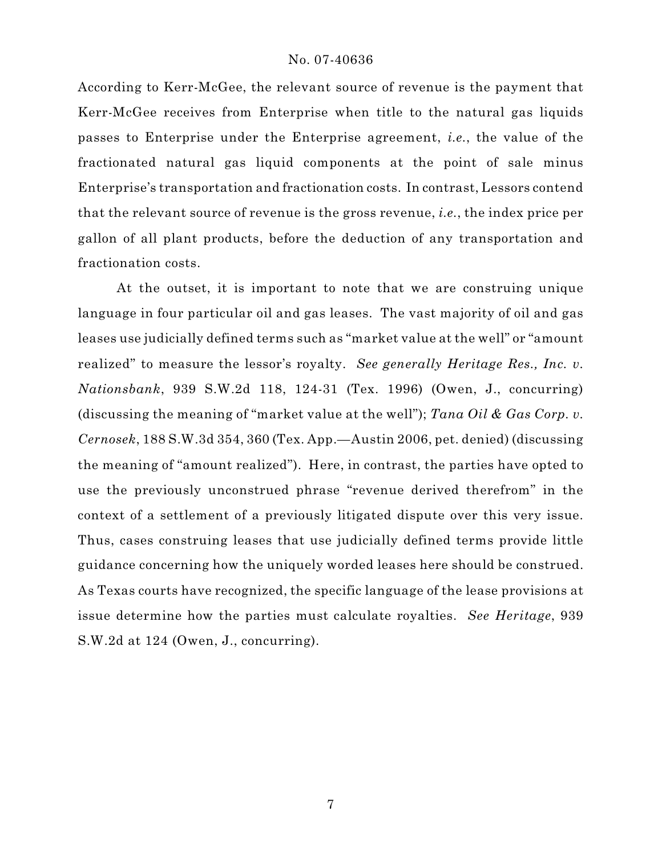According to Kerr-McGee, the relevant source of revenue is the payment that Kerr-McGee receives from Enterprise when title to the natural gas liquids passes to Enterprise under the Enterprise agreement, *i.e.*, the value of the fractionated natural gas liquid components at the point of sale minus Enterprise's transportation and fractionation costs. In contrast, Lessors contend that the relevant source of revenue is the gross revenue, *i.e.*, the index price per gallon of all plant products, before the deduction of any transportation and fractionation costs.

At the outset, it is important to note that we are construing unique language in four particular oil and gas leases. The vast majority of oil and gas leases use judicially defined terms such as "market value at the well" or "amount realized" to measure the lessor's royalty. *See generally Heritage Res., Inc. v. Nationsbank*, 939 S.W.2d 118, 124-31 (Tex. 1996) (Owen, J., concurring) (discussing the meaning of "market value at the well"); *Tana Oil & Gas Corp. v. Cernosek*, 188 S.W.3d 354, 360 (Tex. App.—Austin 2006, pet. denied) (discussing the meaning of "amount realized"). Here, in contrast, the parties have opted to use the previously unconstrued phrase "revenue derived therefrom" in the context of a settlement of a previously litigated dispute over this very issue. Thus, cases construing leases that use judicially defined terms provide little guidance concerning how the uniquely worded leases here should be construed. As Texas courts have recognized, the specific language of the lease provisions at issue determine how the parties must calculate royalties. *See Heritage*, 939 S.W.2d at 124 (Owen, J., concurring).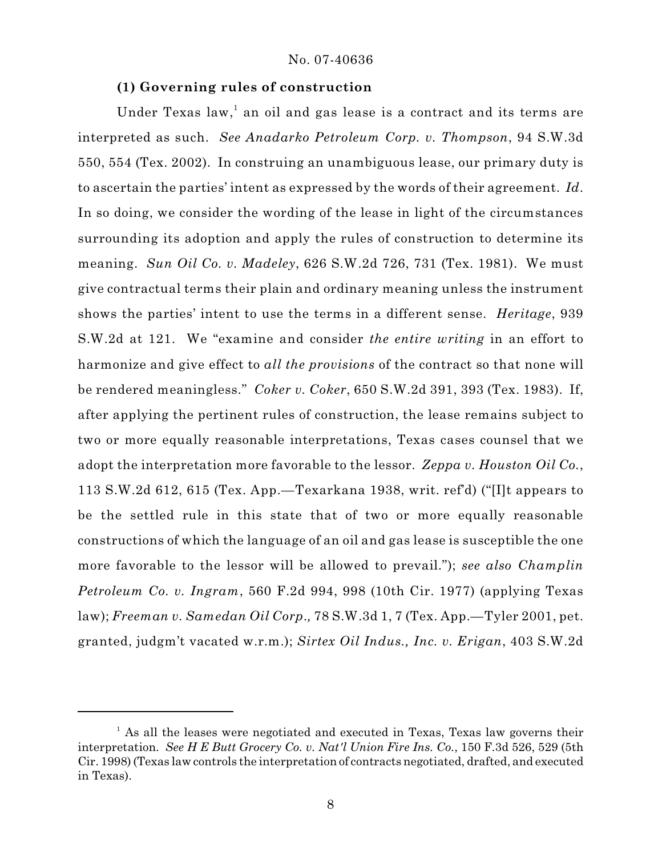## **(1) Governing rules of construction**

Under Texas law,<sup>1</sup> an oil and gas lease is a contract and its terms are interpreted as such. *See Anadarko Petroleum Corp. v. Thompson*, 94 S.W.3d 550, 554 (Tex. 2002). In construing an unambiguous lease, our primary duty is to ascertain the parties' intent as expressed by the words of their agreement. *Id*. In so doing, we consider the wording of the lease in light of the circumstances surrounding its adoption and apply the rules of construction to determine its meaning. *Sun Oil Co. v. Madeley*, 626 S.W.2d 726, 731 (Tex. 1981). We must give contractual terms their plain and ordinary meaning unless the instrument shows the parties' intent to use the terms in a different sense. *Heritage*, 939 S.W.2d at 121. We "examine and consider *the entire writing* in an effort to harmonize and give effect to *all the provisions* of the contract so that none will be rendered meaningless." *Coker v. Coker*, 650 S.W.2d 391, 393 (Tex. 1983). If, after applying the pertinent rules of construction, the lease remains subject to two or more equally reasonable interpretations, Texas cases counsel that we adopt the interpretation more favorable to the lessor. *Zeppa v. Houston Oil Co.*, 113 S.W.2d 612, 615 (Tex. App.—Texarkana 1938, writ. ref'd) ("[I]t appears to be the settled rule in this state that of two or more equally reasonable constructions of which the language of an oil and gas lease is susceptible the one more favorable to the lessor will be allowed to prevail."); *see also Champlin Petroleum Co. v. Ingram*, 560 F.2d 994, 998 (10th Cir. 1977) (applying Texas law); *Freeman v. Samedan Oil Corp*.*,* 78 S.W.3d 1, 7 (Tex. App.—Tyler 2001, pet. granted, judgm't vacated w.r.m.); *Sirtex Oil Indus., Inc. v. Erigan*, 403 S.W.2d

<sup>&</sup>lt;sup>1</sup> As all the leases were negotiated and executed in Texas, Texas law governs their interpretation. *See H E Butt Grocery Co. v. Nat'l Union Fire Ins. Co.*, 150 F.3d 526, 529 (5th Cir. 1998) (Texas law controls the interpretation of contracts negotiated, drafted, and executed in Texas).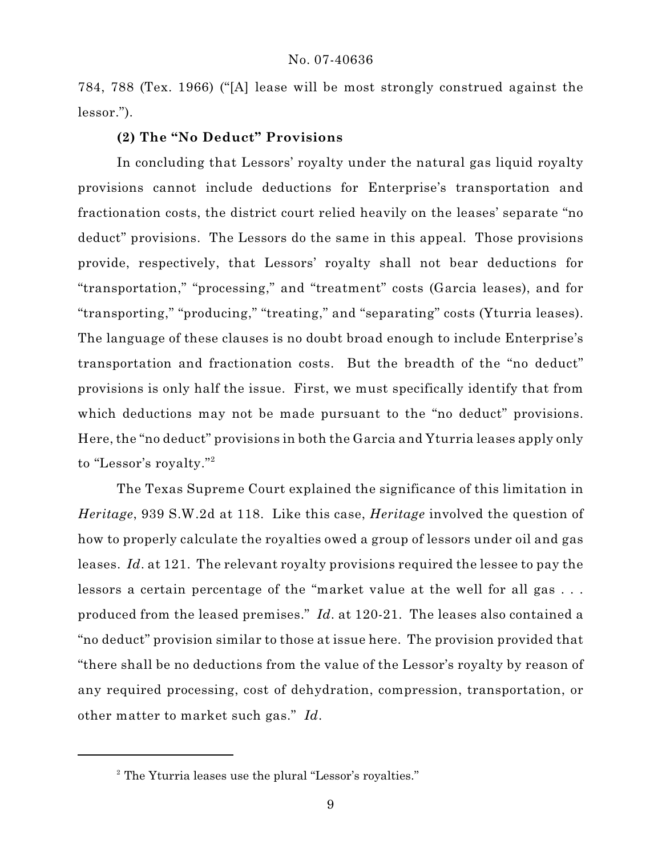784, 788 (Tex. 1966) ("[A] lease will be most strongly construed against the lessor.").

## **(2) The "No Deduct" Provisions**

In concluding that Lessors' royalty under the natural gas liquid royalty provisions cannot include deductions for Enterprise's transportation and fractionation costs, the district court relied heavily on the leases' separate "no deduct" provisions. The Lessors do the same in this appeal. Those provisions provide, respectively, that Lessors' royalty shall not bear deductions for "transportation," "processing," and "treatment" costs (Garcia leases), and for "transporting," "producing," "treating," and "separating" costs (Yturria leases). The language of these clauses is no doubt broad enough to include Enterprise's transportation and fractionation costs. But the breadth of the "no deduct" provisions is only half the issue. First, we must specifically identify that from which deductions may not be made pursuant to the "no deduct" provisions. Here, the "no deduct" provisions in both the Garcia and Yturria leases apply only to "Lessor's royalty."<sup>2</sup>

The Texas Supreme Court explained the significance of this limitation in *Heritage*, 939 S.W.2d at 118. Like this case, *Heritage* involved the question of how to properly calculate the royalties owed a group of lessors under oil and gas leases. *Id*. at 121. The relevant royalty provisions required the lessee to pay the lessors a certain percentage of the "market value at the well for all gas . . . produced from the leased premises." *Id*. at 120-21. The leases also contained a "no deduct" provision similar to those at issue here. The provision provided that "there shall be no deductions from the value of the Lessor's royalty by reason of any required processing, cost of dehydration, compression, transportation, or other matter to market such gas." *Id*.

<sup>&</sup>lt;sup>2</sup> The Yturria leases use the plural "Lessor's royalties."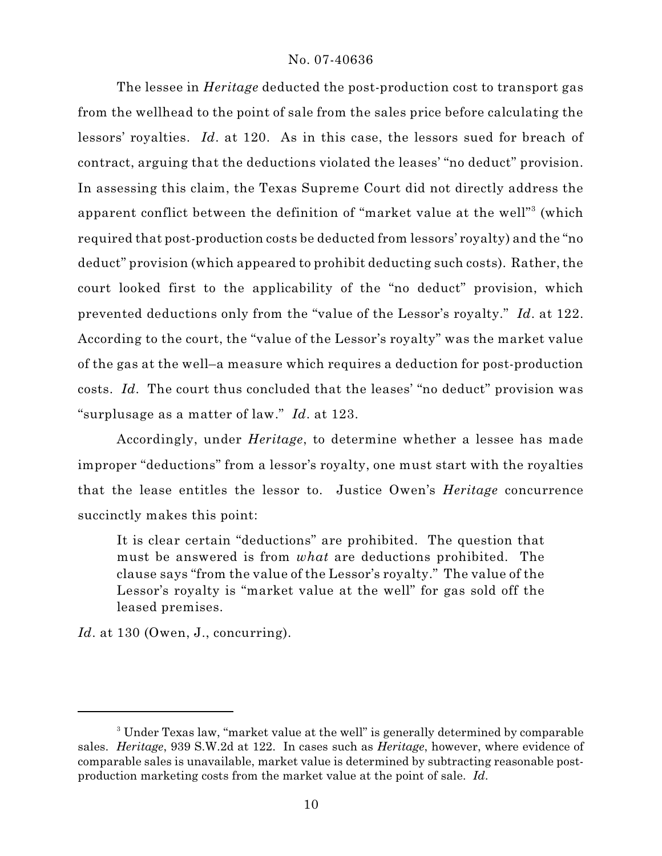The lessee in *Heritage* deducted the post-production cost to transport gas from the wellhead to the point of sale from the sales price before calculating the lessors' royalties. *Id*. at 120. As in this case, the lessors sued for breach of contract, arguing that the deductions violated the leases' "no deduct" provision. In assessing this claim, the Texas Supreme Court did not directly address the apparent conflict between the definition of "market value at the well"<sup>3</sup> (which required that post-production costs be deducted from lessors' royalty) and the "no deduct" provision (which appeared to prohibit deducting such costs). Rather, the court looked first to the applicability of the "no deduct" provision, which prevented deductions only from the "value of the Lessor's royalty." *Id*. at 122. According to the court, the "value of the Lessor's royalty" was the market value of the gas at the well–a measure which requires a deduction for post-production costs. *Id*. The court thus concluded that the leases' "no deduct" provision was "surplusage as a matter of law." *Id*. at 123.

Accordingly, under *Heritage*, to determine whether a lessee has made improper "deductions" from a lessor's royalty, one must start with the royalties that the lease entitles the lessor to. Justice Owen's *Heritage* concurrence succinctly makes this point:

It is clear certain "deductions" are prohibited. The question that must be answered is from *what* are deductions prohibited. The clause says "from the value of the Lessor's royalty." The value of the Lessor's royalty is "market value at the well" for gas sold off the leased premises.

Id. at 130 (Owen, J., concurring).

<sup>&</sup>lt;sup>3</sup> Under Texas law, "market value at the well" is generally determined by comparable sales. *Heritage*, 939 S.W.2d at 122. In cases such as *Heritage*, however, where evidence of comparable sales is unavailable, market value is determined by subtracting reasonable postproduction marketing costs from the market value at the point of sale. *Id*.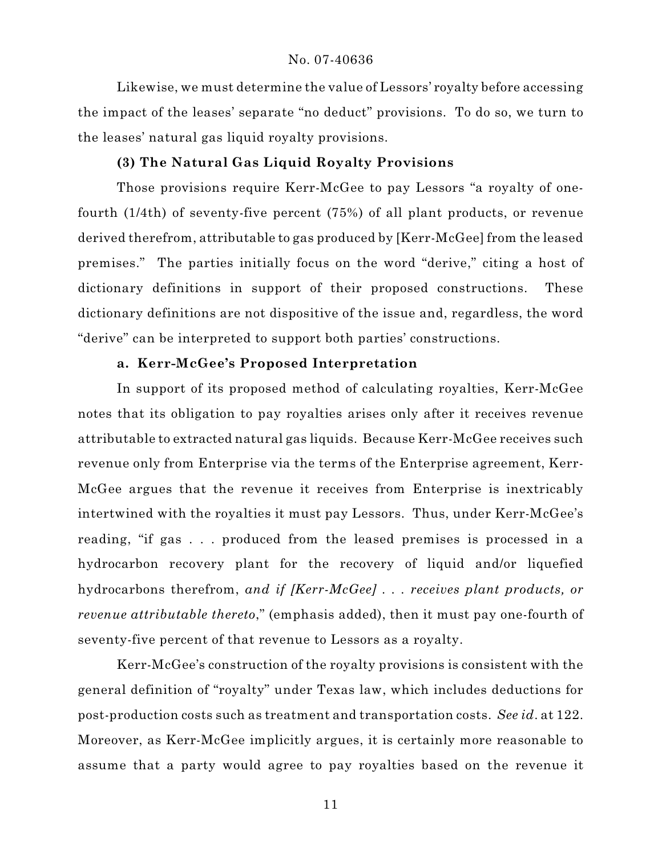Likewise, we must determine the value of Lessors' royalty before accessing the impact of the leases' separate "no deduct" provisions. To do so, we turn to the leases' natural gas liquid royalty provisions.

## **(3) The Natural Gas Liquid Royalty Provisions**

Those provisions require Kerr-McGee to pay Lessors "a royalty of onefourth (1/4th) of seventy-five percent (75%) of all plant products, or revenue derived therefrom, attributable to gas produced by [Kerr-McGee] from the leased premises." The parties initially focus on the word "derive," citing a host of dictionary definitions in support of their proposed constructions. These dictionary definitions are not dispositive of the issue and, regardless, the word "derive" can be interpreted to support both parties' constructions.

## **a. Kerr-McGee's Proposed Interpretation**

In support of its proposed method of calculating royalties, Kerr-McGee notes that its obligation to pay royalties arises only after it receives revenue attributable to extracted natural gas liquids. Because Kerr-McGee receives such revenue only from Enterprise via the terms of the Enterprise agreement, Kerr-McGee argues that the revenue it receives from Enterprise is inextricably intertwined with the royalties it must pay Lessors. Thus, under Kerr-McGee's reading, "if gas . . . produced from the leased premises is processed in a hydrocarbon recovery plant for the recovery of liquid and/or liquefied hydrocarbons therefrom, *and if [Kerr-McGee] . . . receives plant products, or revenue attributable thereto*," (emphasis added), then it must pay one-fourth of seventy-five percent of that revenue to Lessors as a royalty.

Kerr-McGee's construction of the royalty provisions is consistent with the general definition of "royalty" under Texas law, which includes deductions for post-production costs such as treatment and transportation costs. *See id*. at 122. Moreover, as Kerr-McGee implicitly argues, it is certainly more reasonable to assume that a party would agree to pay royalties based on the revenue it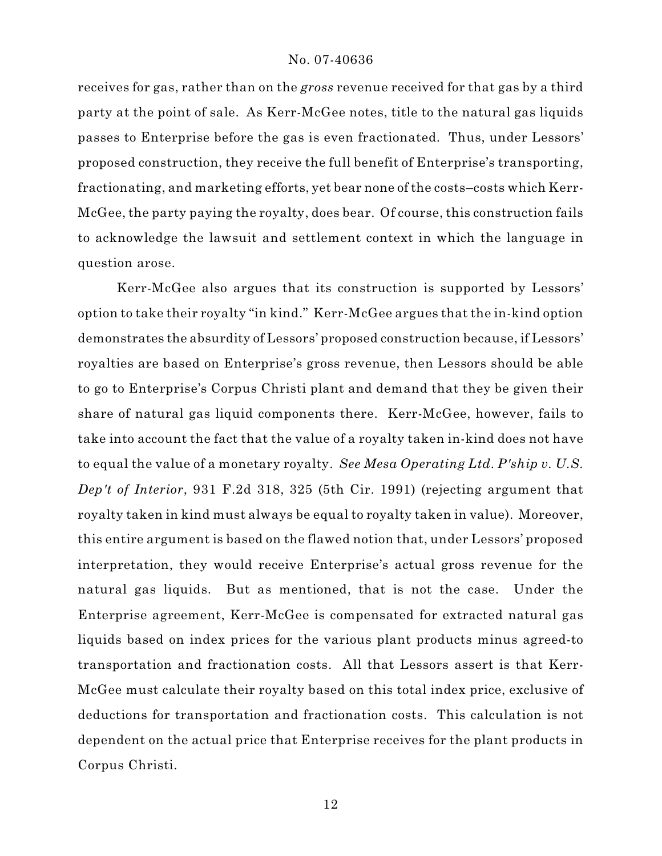receives for gas, rather than on the *gross* revenue received for that gas by a third party at the point of sale. As Kerr-McGee notes, title to the natural gas liquids passes to Enterprise before the gas is even fractionated. Thus, under Lessors' proposed construction, they receive the full benefit of Enterprise's transporting, fractionating, and marketing efforts, yet bear none of the costs–costs which Kerr-McGee, the party paying the royalty, does bear. Of course, this construction fails to acknowledge the lawsuit and settlement context in which the language in question arose.

Kerr-McGee also argues that its construction is supported by Lessors' option to take their royalty "in kind." Kerr-McGee argues that the in-kind option demonstrates the absurdity of Lessors' proposed construction because, if Lessors' royalties are based on Enterprise's gross revenue, then Lessors should be able to go to Enterprise's Corpus Christi plant and demand that they be given their share of natural gas liquid components there. Kerr-McGee, however, fails to take into account the fact that the value of a royalty taken in-kind does not have to equal the value of a monetary royalty. *See Mesa Operating Ltd. P'ship v. U.S. Dep't of Interior*, 931 F.2d 318, 325 (5th Cir. 1991) (rejecting argument that royalty taken in kind must always be equal to royalty taken in value). Moreover, this entire argument is based on the flawed notion that, under Lessors' proposed interpretation, they would receive Enterprise's actual gross revenue for the natural gas liquids. But as mentioned, that is not the case. Under the Enterprise agreement, Kerr-McGee is compensated for extracted natural gas liquids based on index prices for the various plant products minus agreed-to transportation and fractionation costs. All that Lessors assert is that Kerr-McGee must calculate their royalty based on this total index price, exclusive of deductions for transportation and fractionation costs. This calculation is not dependent on the actual price that Enterprise receives for the plant products in Corpus Christi.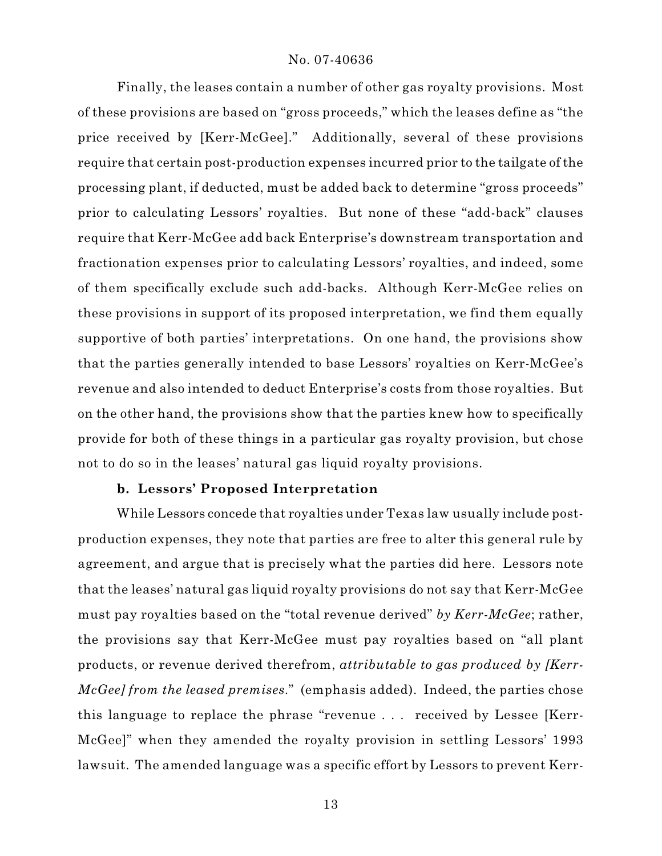Finally, the leases contain a number of other gas royalty provisions. Most of these provisions are based on "gross proceeds," which the leases define as "the price received by [Kerr-McGee]." Additionally, several of these provisions require that certain post-production expenses incurred prior to the tailgate of the processing plant, if deducted, must be added back to determine "gross proceeds" prior to calculating Lessors' royalties. But none of these "add-back" clauses require that Kerr-McGee add back Enterprise's downstream transportation and fractionation expenses prior to calculating Lessors' royalties, and indeed, some of them specifically exclude such add-backs. Although Kerr-McGee relies on these provisions in support of its proposed interpretation, we find them equally supportive of both parties' interpretations. On one hand, the provisions show that the parties generally intended to base Lessors' royalties on Kerr-McGee's revenue and also intended to deduct Enterprise's costs from those royalties. But on the other hand, the provisions show that the parties knew how to specifically provide for both of these things in a particular gas royalty provision, but chose not to do so in the leases' natural gas liquid royalty provisions.

## **b. Lessors' Proposed Interpretation**

While Lessors concede that royalties under Texas law usually include postproduction expenses, they note that parties are free to alter this general rule by agreement, and argue that is precisely what the parties did here. Lessors note that the leases' natural gas liquid royalty provisions do not say that Kerr-McGee must pay royalties based on the "total revenue derived" *by Kerr-McGee*; rather, the provisions say that Kerr-McGee must pay royalties based on "all plant products, or revenue derived therefrom, *attributable to gas produced by [Kerr-McGee] from the leased premises*." (emphasis added). Indeed, the parties chose this language to replace the phrase "revenue . . . received by Lessee [Kerr-McGee]" when they amended the royalty provision in settling Lessors' 1993 lawsuit. The amended language was a specific effort by Lessors to prevent Kerr-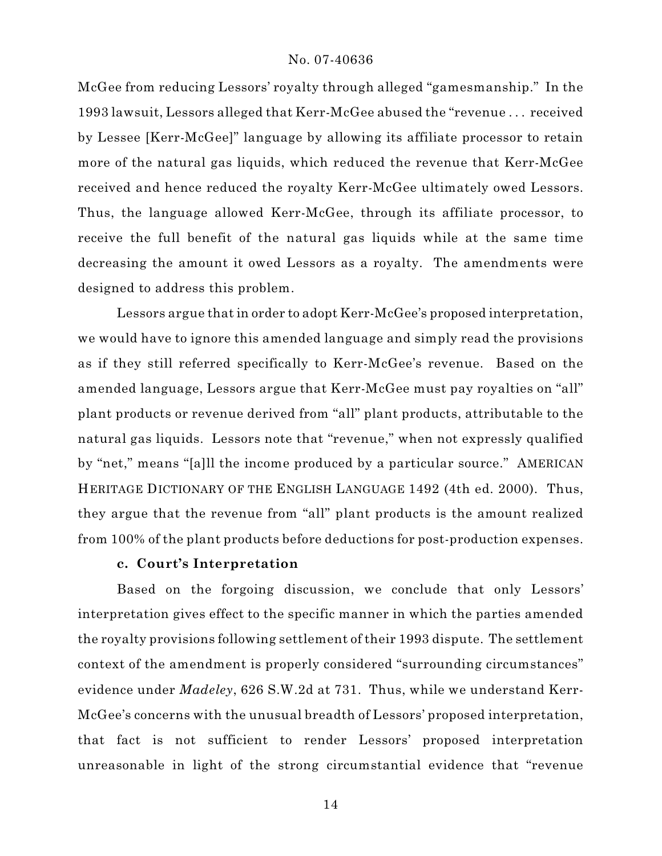McGee from reducing Lessors' royalty through alleged "gamesmanship." In the 1993 lawsuit, Lessors alleged that Kerr-McGee abused the "revenue . . . received by Lessee [Kerr-McGee]" language by allowing its affiliate processor to retain more of the natural gas liquids, which reduced the revenue that Kerr-McGee received and hence reduced the royalty Kerr-McGee ultimately owed Lessors. Thus, the language allowed Kerr-McGee, through its affiliate processor, to receive the full benefit of the natural gas liquids while at the same time decreasing the amount it owed Lessors as a royalty. The amendments were designed to address this problem.

Lessors argue that in order to adopt Kerr-McGee's proposed interpretation, we would have to ignore this amended language and simply read the provisions as if they still referred specifically to Kerr-McGee's revenue. Based on the amended language, Lessors argue that Kerr-McGee must pay royalties on "all" plant products or revenue derived from "all" plant products, attributable to the natural gas liquids. Lessors note that "revenue," when not expressly qualified by "net," means "[a]ll the income produced by a particular source." AMERICAN HERITAGE DICTIONARY OF THE ENGLISH LANGUAGE 1492 (4th ed. 2000). Thus, they argue that the revenue from "all" plant products is the amount realized from 100% of the plant products before deductions for post-production expenses.

## **c. Court's Interpretation**

Based on the forgoing discussion, we conclude that only Lessors' interpretation gives effect to the specific manner in which the parties amended the royalty provisions following settlement of their 1993 dispute. The settlement context of the amendment is properly considered "surrounding circumstances" evidence under *Madeley*, 626 S.W.2d at 731. Thus, while we understand Kerr-McGee's concerns with the unusual breadth of Lessors' proposed interpretation, that fact is not sufficient to render Lessors' proposed interpretation unreasonable in light of the strong circumstantial evidence that "revenue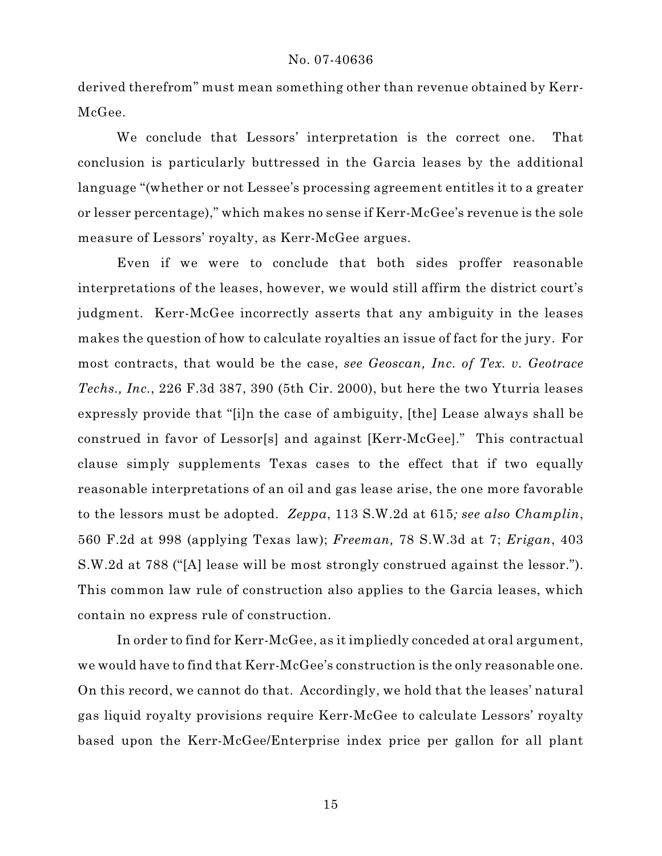derived therefrom" must mean something other than revenue obtained by Kerr-McGee.

We conclude that Lessors' interpretation is the correct one. That conclusion is particularly buttressed in the Garcia leases by the additional language "(whether or not Lessee's processing agreement entitles it to a greater or lesser percentage)," which makes no sense if Kerr-McGee's revenue is the sole measure of Lessors' royalty, as Kerr-McGee argues.

Even if we were to conclude that both sides proffer reasonable interpretations of the leases, however, we would still affirm the district court's judgment. Kerr-McGee incorrectly asserts that any ambiguity in the leases makes the question of how to calculate royalties an issue of fact for the jury. For most contracts, that would be the case, *see Geoscan, Inc. of Tex. v. Geotrace Techs., Inc.*, 226 F.3d 387, 390 (5th Cir. 2000), but here the two Yturria leases expressly provide that "[i]n the case of ambiguity, [the] Lease always shall be construed in favor of Lessor[s] and against [Kerr-McGee]." This contractual clause simply supplements Texas cases to the effect that if two equally reasonable interpretations of an oil and gas lease arise, the one more favorable to the lessors must be adopted. *Zeppa*, 113 S.W.2d at 615*; see also Champlin*, 560 F.2d at 998 (applying Texas law); *Freeman,* 78 S.W.3d at 7; *Erigan*, 403 S.W.2d at 788 ("[A] lease will be most strongly construed against the lessor."). This common law rule of construction also applies to the Garcia leases, which contain no express rule of construction.

In order to find for Kerr-McGee, as it impliedly conceded at oral argument, we would have to find that Kerr-McGee's construction is the only reasonable one. On this record, we cannot do that. Accordingly, we hold that the leases' natural gas liquid royalty provisions require Kerr-McGee to calculate Lessors' royalty based upon the Kerr-McGee/Enterprise index price per gallon for all plant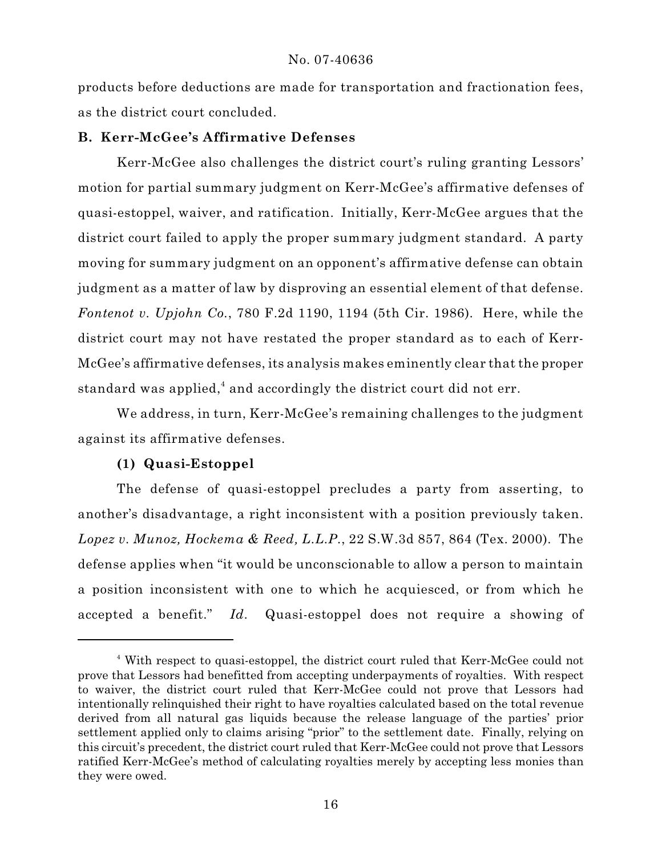products before deductions are made for transportation and fractionation fees, as the district court concluded.

## **B. Kerr-McGee's Affirmative Defenses**

Kerr-McGee also challenges the district court's ruling granting Lessors' motion for partial summary judgment on Kerr-McGee's affirmative defenses of quasi-estoppel, waiver, and ratification. Initially, Kerr-McGee argues that the district court failed to apply the proper summary judgment standard. A party moving for summary judgment on an opponent's affirmative defense can obtain judgment as a matter of law by disproving an essential element of that defense. *Fontenot v. Upjohn Co.*, 780 F.2d 1190, 1194 (5th Cir. 1986). Here, while the district court may not have restated the proper standard as to each of Kerr-McGee's affirmative defenses, its analysis makes eminently clear that the proper standard was applied,<sup>4</sup> and accordingly the district court did not err.

We address, in turn, Kerr-McGee's remaining challenges to the judgment against its affirmative defenses.

# **(1) Quasi-Estoppel**

The defense of quasi-estoppel precludes a party from asserting, to another's disadvantage, a right inconsistent with a position previously taken. *Lopez v. Munoz, Hockema & Reed, L.L.P.*, 22 S.W.3d 857, 864 (Tex. 2000). The defense applies when "it would be unconscionable to allow a person to maintain a position inconsistent with one to which he acquiesced, or from which he accepted a benefit." *Id*. Quasi-estoppel does not require a showing of

With respect to quasi-estoppel, the district court ruled that Kerr-McGee could not <sup>4</sup> prove that Lessors had benefitted from accepting underpayments of royalties. With respect to waiver, the district court ruled that Kerr-McGee could not prove that Lessors had intentionally relinquished their right to have royalties calculated based on the total revenue derived from all natural gas liquids because the release language of the parties' prior settlement applied only to claims arising "prior" to the settlement date. Finally, relying on this circuit's precedent, the district court ruled that Kerr-McGee could not prove that Lessors ratified Kerr-McGee's method of calculating royalties merely by accepting less monies than they were owed.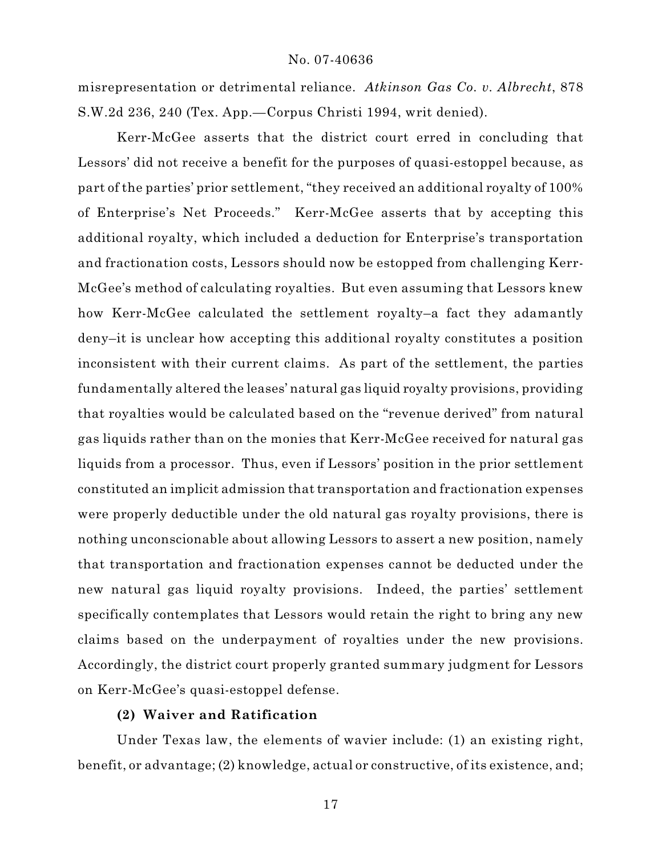misrepresentation or detrimental reliance. *Atkinson Gas Co. v. Albrecht*, 878 S.W.2d 236, 240 (Tex. App.—Corpus Christi 1994, writ denied).

Kerr-McGee asserts that the district court erred in concluding that Lessors' did not receive a benefit for the purposes of quasi-estoppel because, as part of the parties' prior settlement, "they received an additional royalty of 100% of Enterprise's Net Proceeds." Kerr-McGee asserts that by accepting this additional royalty, which included a deduction for Enterprise's transportation and fractionation costs, Lessors should now be estopped from challenging Kerr-McGee's method of calculating royalties. But even assuming that Lessors knew how Kerr-McGee calculated the settlement royalty–a fact they adamantly deny–it is unclear how accepting this additional royalty constitutes a position inconsistent with their current claims. As part of the settlement, the parties fundamentally altered the leases' natural gas liquid royalty provisions, providing that royalties would be calculated based on the "revenue derived" from natural gas liquids rather than on the monies that Kerr-McGee received for natural gas liquids from a processor. Thus, even if Lessors' position in the prior settlement constituted an implicit admission that transportation and fractionation expenses were properly deductible under the old natural gas royalty provisions, there is nothing unconscionable about allowing Lessors to assert a new position, namely that transportation and fractionation expenses cannot be deducted under the new natural gas liquid royalty provisions. Indeed, the parties' settlement specifically contemplates that Lessors would retain the right to bring any new claims based on the underpayment of royalties under the new provisions. Accordingly, the district court properly granted summary judgment for Lessors on Kerr-McGee's quasi-estoppel defense.

## **(2) Waiver and Ratification**

Under Texas law, the elements of wavier include: (1) an existing right, benefit, or advantage; (2) knowledge, actual or constructive, of its existence, and;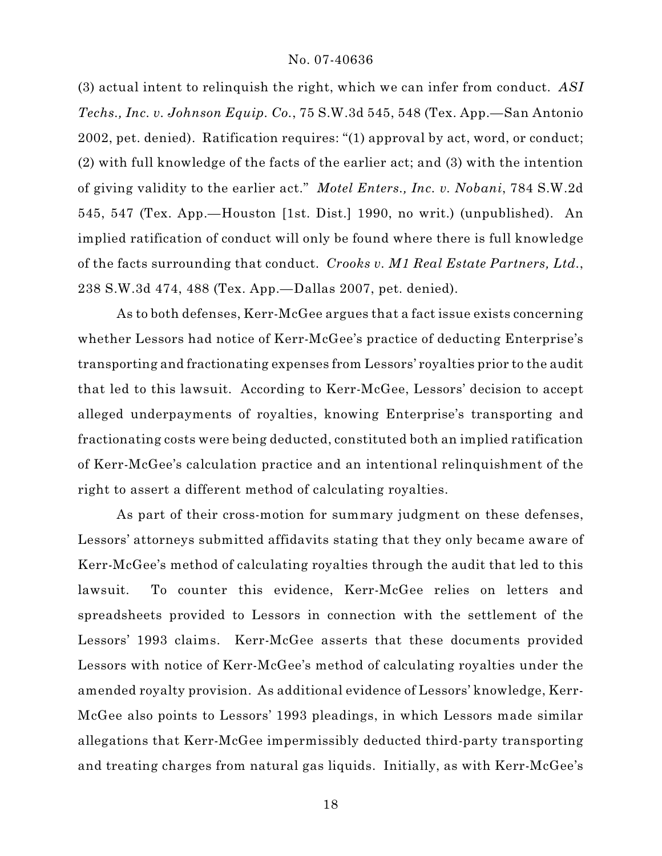(3) actual intent to relinquish the right, which we can infer from conduct. *ASI Techs., Inc. v. Johnson Equip. Co.*, 75 S.W.3d 545, 548 (Tex. App.—San Antonio 2002, pet. denied). Ratification requires: "(1) approval by act, word, or conduct; (2) with full knowledge of the facts of the earlier act; and (3) with the intention of giving validity to the earlier act." *Motel Enters., Inc. v. Nobani*, 784 S.W.2d 545, 547 (Tex. App.—Houston [1st. Dist.] 1990, no writ.) (unpublished). An implied ratification of conduct will only be found where there is full knowledge of the facts surrounding that conduct. *Crooks v. M1 Real Estate Partners, Ltd.*, 238 S.W.3d 474, 488 (Tex. App.—Dallas 2007, pet. denied).

As to both defenses, Kerr-McGee argues that a fact issue exists concerning whether Lessors had notice of Kerr-McGee's practice of deducting Enterprise's transporting and fractionating expenses from Lessors' royalties prior to the audit that led to this lawsuit. According to Kerr-McGee, Lessors' decision to accept alleged underpayments of royalties, knowing Enterprise's transporting and fractionating costs were being deducted, constituted both an implied ratification of Kerr-McGee's calculation practice and an intentional relinquishment of the right to assert a different method of calculating royalties.

As part of their cross-motion for summary judgment on these defenses, Lessors' attorneys submitted affidavits stating that they only became aware of Kerr-McGee's method of calculating royalties through the audit that led to this lawsuit. To counter this evidence, Kerr-McGee relies on letters and spreadsheets provided to Lessors in connection with the settlement of the Lessors' 1993 claims. Kerr-McGee asserts that these documents provided Lessors with notice of Kerr-McGee's method of calculating royalties under the amended royalty provision. As additional evidence of Lessors' knowledge, Kerr-McGee also points to Lessors' 1993 pleadings, in which Lessors made similar allegations that Kerr-McGee impermissibly deducted third-party transporting and treating charges from natural gas liquids. Initially, as with Kerr-McGee's